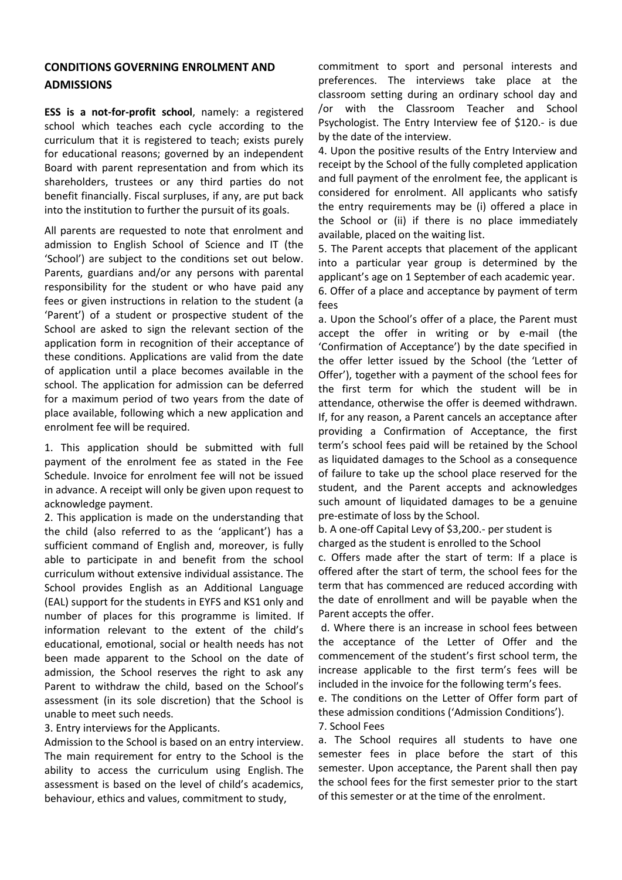## **CONDITIONS GOVERNING ENROLMENT AND ADMISSIONS**

**ESS is a not-for-profit school**, namely: a registered school which teaches each cycle according to the curriculum that it is registered to teach; exists purely for educational reasons; governed by an independent Board with parent representation and from which its shareholders, trustees or any third parties do not benefit financially. Fiscal surpluses, if any, are put back into the institution to further the pursuit of its goals.

All parents are requested to note that enrolment and admission to English School of Science and IT (the 'School') are subject to the conditions set out below. Parents, guardians and/or any persons with parental responsibility for the student or who have paid any fees or given instructions in relation to the student (a 'Parent') of a student or prospective student of the School are asked to sign the relevant section of the application form in recognition of their acceptance of these conditions. Applications are valid from the date of application until a place becomes available in the school. The application for admission can be deferred for a maximum period of two years from the date of place available, following which a new application and enrolment fee will be required.

1. This application should be submitted with full payment of the enrolment fee as stated in the Fee Schedule. Invoice for enrolment fee will not be issued in advance. A receipt will only be given upon request to acknowledge payment.

2. This application is made on the understanding that the child (also referred to as the 'applicant') has a sufficient command of English and, moreover, is fully able to participate in and benefit from the school curriculum without extensive individual assistance. The School provides English as an Additional Language (EAL) support for the students in EYFS and KS1 only and number of places for this programme is limited. If information relevant to the extent of the child's educational, emotional, social or health needs has not been made apparent to the School on the date of admission, the School reserves the right to ask any Parent to withdraw the child, based on the School's assessment (in its sole discretion) that the School is unable to meet such needs.

3. Entry interviews for the Applicants.

Admission to the School is based on an entry interview. The main requirement for entry to the School is the ability to access the curriculum using English. The assessment is based on the level of child's academics, behaviour, ethics and values, commitment to study,

commitment to sport and personal interests and preferences. The interviews take place at the classroom setting during an ordinary school day and /or with the Classroom Teacher and School Psychologist. The Entry Interview fee of \$120.- is due by the date of the interview.

4. Upon the positive results of the Entry Interview and receipt by the School of the fully completed application and full payment of the enrolment fee, the applicant is considered for enrolment. All applicants who satisfy the entry requirements may be (i) offered a place in the School or (ii) if there is no place immediately available, placed on the waiting list.

5. The Parent accepts that placement of the applicant into a particular year group is determined by the applicant's age on 1 September of each academic year. 6. Offer of a place and acceptance by payment of term fees

a. Upon the School's offer of a place, the Parent must accept the offer in writing or by e-mail (the 'Confirmation of Acceptance') by the date specified in the offer letter issued by the School (the 'Letter of Offer'), together with a payment of the school fees for the first term for which the student will be in attendance, otherwise the offer is deemed withdrawn. If, for any reason, a Parent cancels an acceptance after providing a Confirmation of Acceptance, the first term's school fees paid will be retained by the School as liquidated damages to the School as a consequence of failure to take up the school place reserved for the student, and the Parent accepts and acknowledges such amount of liquidated damages to be a genuine pre-estimate of loss by the School.

b. A one-off Capital Levy of \$3,200.- per student is charged as the student is enrolled to the School

c. Offers made after the start of term: If a place is offered after the start of term, the school fees for the term that has commenced are reduced according with the date of enrollment and will be payable when the Parent accepts the offer.

d. Where there is an increase in school fees between the acceptance of the Letter of Offer and the commencement of the student's first school term, the increase applicable to the first term's fees will be included in the invoice for the following term's fees.

e. The conditions on the Letter of Offer form part of these admission conditions ('Admission Conditions'). 7. School Fees

a. The School requires all students to have one semester fees in place before the start of this semester. Upon acceptance, the Parent shall then pay the school fees for the first semester prior to the start of this semester or at the time of the enrolment.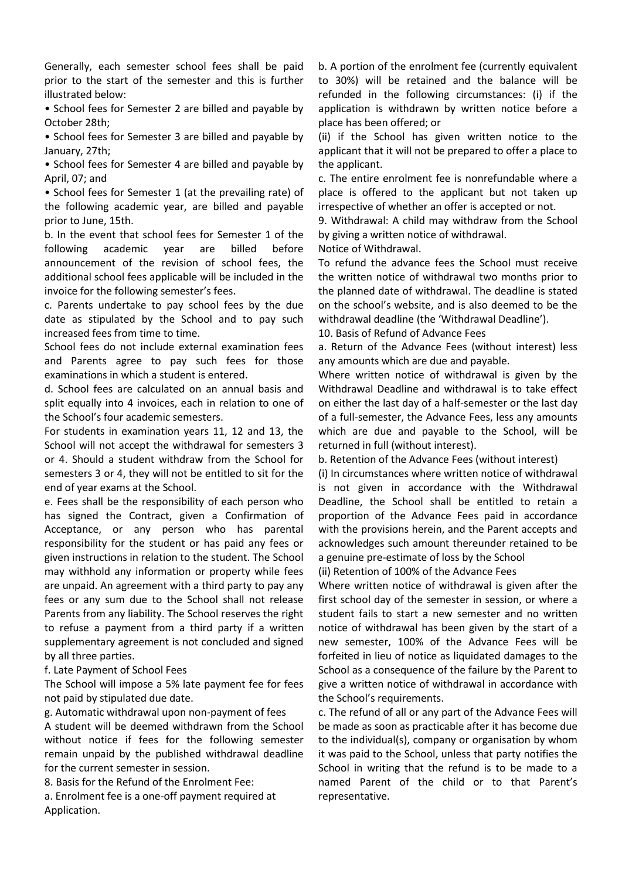Generally, each semester school fees shall be paid prior to the start of the semester and this is further illustrated below:

• School fees for Semester 2 are billed and payable by October 28th;

• School fees for Semester 3 are billed and payable by January, 27th;

• School fees for Semester 4 are billed and payable by April, 07; and

• School fees for Semester 1 (at the prevailing rate) of the following academic year, are billed and payable prior to June, 15th.

b. In the event that school fees for Semester 1 of the following academic year are billed before announcement of the revision of school fees, the additional school fees applicable will be included in the invoice for the following semester's fees.

c. Parents undertake to pay school fees by the due date as stipulated by the School and to pay such increased fees from time to time.

School fees do not include external examination fees and Parents agree to pay such fees for those examinations in which a student is entered.

d. School fees are calculated on an annual basis and split equally into 4 invoices, each in relation to one of the School's four academic semesters.

For students in examination years 11, 12 and 13, the School will not accept the withdrawal for semesters 3 or 4. Should a student withdraw from the School for semesters 3 or 4, they will not be entitled to sit for the end of year exams at the School.

e. Fees shall be the responsibility of each person who has signed the Contract, given a Confirmation of Acceptance, or any person who has parental responsibility for the student or has paid any fees or given instructions in relation to the student. The School may withhold any information or property while fees are unpaid. An agreement with a third party to pay any fees or any sum due to the School shall not release Parents from any liability. The School reserves the right to refuse a payment from a third party if a written supplementary agreement is not concluded and signed by all three parties.

f. Late Payment of School Fees

The School will impose a 5% late payment fee for fees not paid by stipulated due date.

g. Automatic withdrawal upon non-payment of fees

A student will be deemed withdrawn from the School without notice if fees for the following semester remain unpaid by the published withdrawal deadline for the current semester in session.

8. Basis for the Refund of the Enrolment Fee:

a. Enrolment fee is a one-off payment required at Application.

b. A portion of the enrolment fee (currently equivalent to 30%) will be retained and the balance will be refunded in the following circumstances: (i) if the application is withdrawn by written notice before a place has been offered; or

(ii) if the School has given written notice to the applicant that it will not be prepared to offer a place to the applicant.

c. The entire enrolment fee is nonrefundable where a place is offered to the applicant but not taken up irrespective of whether an offer is accepted or not.

9. Withdrawal: A child may withdraw from the School by giving a written notice of withdrawal.

Notice of Withdrawal.

To refund the advance fees the School must receive the written notice of withdrawal two months prior to the planned date of withdrawal. The deadline is stated on the school's website, and is also deemed to be the withdrawal deadline (the 'Withdrawal Deadline').

10. Basis of Refund of Advance Fees

a. Return of the Advance Fees (without interest) less any amounts which are due and payable.

Where written notice of withdrawal is given by the Withdrawal Deadline and withdrawal is to take effect on either the last day of a half-semester or the last day of a full-semester, the Advance Fees, less any amounts which are due and payable to the School, will be returned in full (without interest).

b. Retention of the Advance Fees (without interest)

(i) In circumstances where written notice of withdrawal is not given in accordance with the Withdrawal Deadline, the School shall be entitled to retain a proportion of the Advance Fees paid in accordance with the provisions herein, and the Parent accepts and acknowledges such amount thereunder retained to be a genuine pre-estimate of loss by the School

(ii) Retention of 100% of the Advance Fees

Where written notice of withdrawal is given after the first school day of the semester in session, or where a student fails to start a new semester and no written notice of withdrawal has been given by the start of a new semester, 100% of the Advance Fees will be forfeited in lieu of notice as liquidated damages to the School as a consequence of the failure by the Parent to give a written notice of withdrawal in accordance with the School's requirements.

c. The refund of all or any part of the Advance Fees will be made as soon as practicable after it has become due to the individual(s), company or organisation by whom it was paid to the School, unless that party notifies the School in writing that the refund is to be made to a named Parent of the child or to that Parent's representative.